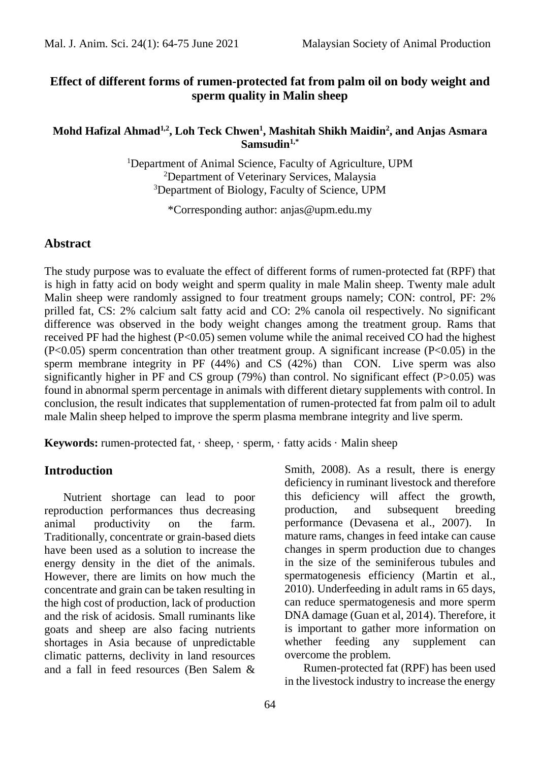# **Effect of different forms of rumen-protected fat from palm oil on body weight and sperm quality in Malin sheep**

#### **Mohd Hafizal Ahmad1,2, Loh Teck Chwen<sup>1</sup> , Mashitah Shikh Maidin<sup>2</sup> , and Anjas Asmara Samsudin1,\***

<sup>1</sup>Department of Animal Science, Faculty of Agriculture, UPM <sup>2</sup>Department of Veterinary Services, Malaysia <sup>3</sup>Department of Biology, Faculty of Science, UPM

\*Corresponding author: anjas@upm.edu.my

#### **Abstract**

The study purpose was to evaluate the effect of different forms of rumen-protected fat (RPF) that is high in fatty acid on body weight and sperm quality in male Malin sheep. Twenty male adult Malin sheep were randomly assigned to four treatment groups namely; CON: control, PF: 2% prilled fat, CS: 2% calcium salt fatty acid and CO: 2% canola oil respectively. No significant difference was observed in the body weight changes among the treatment group. Rams that received PF had the highest (P<0.05) semen volume while the animal received CO had the highest (P<0.05) sperm concentration than other treatment group. A significant increase (P<0.05) in the sperm membrane integrity in PF (44%) and CS (42%) than CON. Live sperm was also significantly higher in PF and CS group  $(79%)$  than control. No significant effect  $(P>0.05)$  was found in abnormal sperm percentage in animals with different dietary supplements with control. In conclusion, the result indicates that supplementation of rumen-protected fat from palm oil to adult male Malin sheep helped to improve the sperm plasma membrane integrity and live sperm.

**Keywords:** rumen-protected fat, · sheep, · sperm, · fatty acids · Malin sheep

### **Introduction**

Nutrient shortage can lead to poor reproduction performances thus decreasing animal productivity on the farm. Traditionally, concentrate or grain-based diets have been used as a solution to increase the energy density in the diet of the animals. However, there are limits on how much the concentrate and grain can be taken resulting in the high cost of production, lack of production and the risk of acidosis. Small ruminants like goats and sheep are also facing nutrients shortages in Asia because of unpredictable climatic patterns, declivity in land resources and a fall in feed resources (Ben Salem &

Smith, 2008). As a result, there is energy deficiency in ruminant livestock and therefore this deficiency will affect the growth, production, and subsequent breeding performance (Devasena et al., 2007). In mature rams, changes in feed intake can cause changes in sperm production due to changes in the size of the seminiferous tubules and spermatogenesis efficiency (Martin et al., 2010). Underfeeding in adult rams in 65 days, can reduce spermatogenesis and more sperm DNA damage (Guan et al, 2014). Therefore, it is important to gather more information on whether feeding any supplement can overcome the problem.

Rumen-protected fat (RPF) has been used in the livestock industry to increase the energy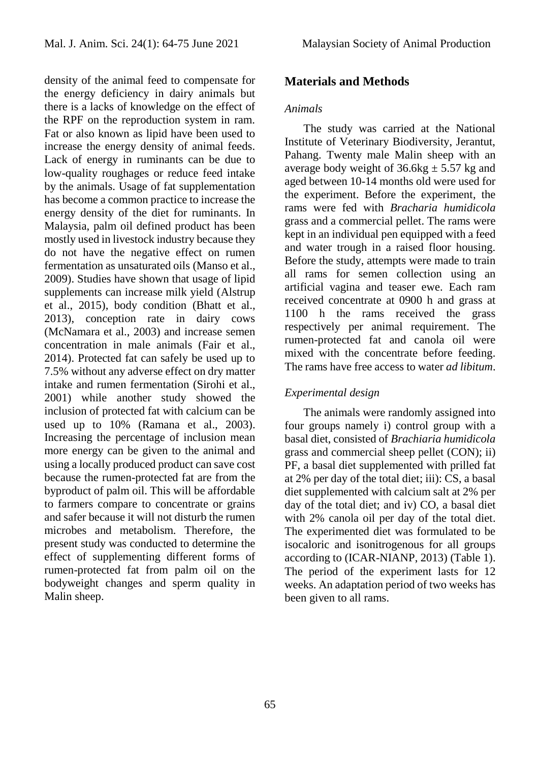density of the animal feed to compensate for the energy deficiency in dairy animals but there is a lacks of knowledge on the effect of the RPF on the reproduction system in ram. Fat or also known as lipid have been used to increase the energy density of animal feeds. Lack of energy in ruminants can be due to low-quality roughages or reduce feed intake by the animals. Usage of fat supplementation has become a common practice to increase the energy density of the diet for ruminants. In Malaysia, palm oil defined product has been mostly used in livestock industry because they do not have the negative effect on rumen fermentation as unsaturated oils (Manso et al., 2009). Studies have shown that usage of lipid supplements can increase milk yield (Alstrup et al., 2015), body condition (Bhatt et al., 2013), conception rate in dairy cows (McNamara et al., 2003) and increase semen concentration in male animals (Fair et al., 2014). Protected fat can safely be used up to 7.5% without any adverse effect on dry matter intake and rumen fermentation (Sirohi et al., 2001) while another study showed the inclusion of protected fat with calcium can be used up to 10% (Ramana et al., 2003). Increasing the percentage of inclusion mean more energy can be given to the animal and using a locally produced product can save cost because the rumen-protected fat are from the byproduct of palm oil. This will be affordable to farmers compare to concentrate or grains and safer because it will not disturb the rumen microbes and metabolism. Therefore, the present study was conducted to determine the effect of supplementing different forms of rumen-protected fat from palm oil on the bodyweight changes and sperm quality in Malin sheep.

# **Materials and Methods**

#### *Animals*

The study was carried at the National Institute of Veterinary Biodiversity, Jerantut, Pahang. Twenty male Malin sheep with an average body weight of  $36.6kg \pm 5.57$  kg and aged between 10-14 months old were used for the experiment. Before the experiment, the rams were fed with *Bracharia humidicola* grass and a commercial pellet. The rams were kept in an individual pen equipped with a feed and water trough in a raised floor housing. Before the study, attempts were made to train all rams for semen collection using an artificial vagina and teaser ewe. Each ram received concentrate at 0900 h and grass at 1100 h the rams received the grass respectively per animal requirement. The rumen-protected fat and canola oil were mixed with the concentrate before feeding. The rams have free access to water *ad libitum*.

# *Experimental design*

The animals were randomly assigned into four groups namely i) control group with a basal diet, consisted of *Brachiaria humidicola* grass and commercial sheep pellet (CON); ii) PF, a basal diet supplemented with prilled fat at 2% per day of the total diet; iii): CS, a basal diet supplemented with calcium salt at 2% per day of the total diet; and iv) CO, a basal diet with 2% canola oil per day of the total diet. The experimented diet was formulated to be isocaloric and isonitrogenous for all groups according to (ICAR-NIANP, 2013) (Table 1). The period of the experiment lasts for 12 weeks. An adaptation period of two weeks has been given to all rams.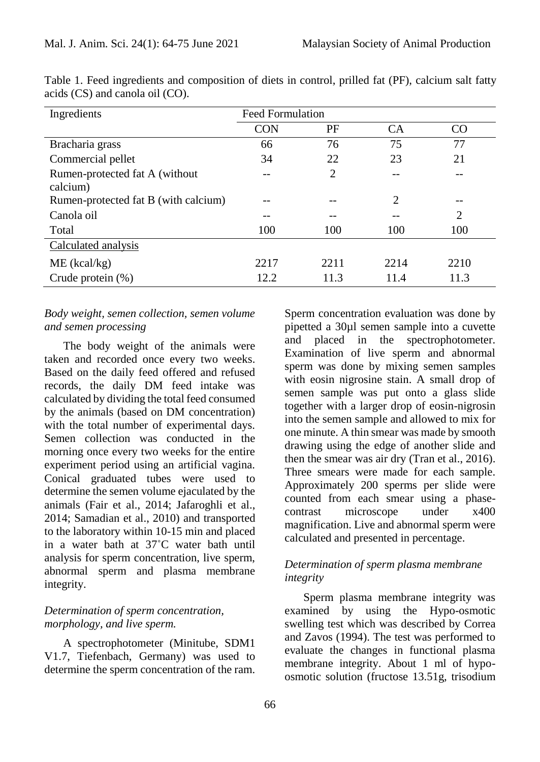| Ingredients                                 | <b>Feed Formulation</b> |                |           |      |
|---------------------------------------------|-------------------------|----------------|-----------|------|
|                                             | <b>CON</b>              | PF             | <b>CA</b> | CO   |
| Bracharia grass                             | 66                      | 76             | 75        | 77   |
| Commercial pellet                           | 34                      | 22             | 23        | 21   |
| Rumen-protected fat A (without)<br>calcium) |                         | $\overline{2}$ |           |      |
| Rumen-protected fat B (with calcium)        |                         |                | 2         | --   |
| Canola oil                                  | --                      |                |           | 2    |
| Total                                       | 100                     | 100            | 100       | 100  |
| Calculated analysis                         |                         |                |           |      |
| $ME$ (kcal/kg)                              | 2217                    | 2211           | 2214      | 2210 |
| Crude protein $(\%)$                        | 12.2                    | 11.3           | 11.4      | 11.3 |

Table 1. Feed ingredients and composition of diets in control, prilled fat (PF), calcium salt fatty acids (CS) and canola oil (CO).

### *Body weight, semen collection, semen volume and semen processing*

The body weight of the animals were taken and recorded once every two weeks. Based on the daily feed offered and refused records, the daily DM feed intake was calculated by dividing the total feed consumed by the animals (based on DM concentration) with the total number of experimental days. Semen collection was conducted in the morning once every two weeks for the entire experiment period using an artificial vagina. Conical graduated tubes were used to determine the semen volume ejaculated by the animals (Fair et al., 2014; Jafaroghli et al., 2014; Samadian et al., 2010) and transported to the laboratory within 10-15 min and placed in a water bath at 37˚C water bath until analysis for sperm concentration, live sperm, abnormal sperm and plasma membrane integrity.

# *Determination of sperm concentration, morphology, and live sperm.*

A spectrophotometer (Minitube, SDM1 V1.7, Tiefenbach, Germany) was used to determine the sperm concentration of the ram.

Sperm concentration evaluation was done by pipetted a 30µl semen sample into a cuvette and placed in the spectrophotometer. Examination of live sperm and abnormal sperm was done by mixing semen samples with eosin nigrosine stain. A small drop of semen sample was put onto a glass slide together with a larger drop of eosin-nigrosin into the semen sample and allowed to mix for one minute. A thin smear was made by smooth drawing using the edge of another slide and then the smear was air dry (Tran et al., 2016). Three smears were made for each sample. Approximately 200 sperms per slide were counted from each smear using a phasecontrast microscope under x400 magnification. Live and abnormal sperm were calculated and presented in percentage.

# *Determination of sperm plasma membrane integrity*

Sperm plasma membrane integrity was examined by using the Hypo-osmotic swelling test which was described by Correa and Zavos (1994). The test was performed to evaluate the changes in functional plasma membrane integrity. About 1 ml of hypoosmotic solution (fructose 13.51g, trisodium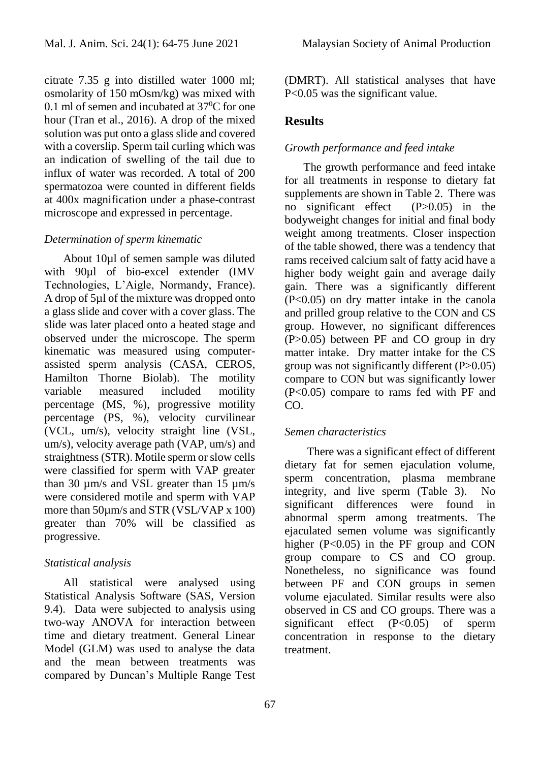citrate 7.35 g into distilled water 1000 ml; osmolarity of 150 mOsm/kg) was mixed with 0.1 ml of semen and incubated at  $37^{\circ}$ C for one hour (Tran et al., 2016). A drop of the mixed solution was put onto a glass slide and covered with a coverslip. Sperm tail curling which was an indication of swelling of the tail due to influx of water was recorded. A total of 200 spermatozoa were counted in different fields at 400x magnification under a phase-contrast microscope and expressed in percentage.

#### *Determination of sperm kinematic*

About 10µl of semen sample was diluted with 90µl of bio-excel extender (IMV Technologies, L'Aigle, Normandy, France). A drop of 5µl of the mixture was dropped onto a glass slide and cover with a cover glass. The slide was later placed onto a heated stage and observed under the microscope. The sperm kinematic was measured using computerassisted sperm analysis (CASA, CEROS, Hamilton Thorne Biolab). The motility variable measured included motility percentage (MS, %), progressive motility percentage (PS, %), velocity curvilinear (VCL, um/s), velocity straight line (VSL, um/s), velocity average path (VAP, um/s) and straightness (STR). Motile sperm or slow cells were classified for sperm with VAP greater than 30  $\mu$ m/s and VSL greater than 15  $\mu$ m/s were considered motile and sperm with VAP more than 50µm/s and STR (VSL/VAP x 100) greater than 70% will be classified as progressive.

#### *Statistical analysis*

All statistical were analysed using Statistical Analysis Software (SAS, Version 9.4). Data were subjected to analysis using two-way ANOVA for interaction between time and dietary treatment. General Linear Model (GLM) was used to analyse the data and the mean between treatments was compared by Duncan's Multiple Range Test

(DMRT). All statistical analyses that have P<0.05 was the significant value.

### **Results**

### *Growth performance and feed intake*

The growth performance and feed intake for all treatments in response to dietary fat supplements are shown in Table 2. There was no significant effect (P>0.05) in the bodyweight changes for initial and final body weight among treatments. Closer inspection of the table showed, there was a tendency that rams received calcium salt of fatty acid have a higher body weight gain and average daily gain. There was a significantly different (P<0.05) on dry matter intake in the canola and prilled group relative to the CON and CS group. However, no significant differences (P>0.05) between PF and CO group in dry matter intake. Dry matter intake for the CS group was not significantly different (P>0.05) compare to CON but was significantly lower (P<0.05) compare to rams fed with PF and CO.

#### *Semen characteristics*

There was a significant effect of different dietary fat for semen ejaculation volume, sperm concentration, plasma membrane integrity, and live sperm (Table 3). No significant differences were found in abnormal sperm among treatments. The ejaculated semen volume was significantly higher (P<0.05) in the PF group and CON group compare to CS and CO group. Nonetheless, no significance was found between PF and CON groups in semen volume ejaculated. Similar results were also observed in CS and CO groups. There was a significant effect (P<0.05) of sperm concentration in response to the dietary treatment.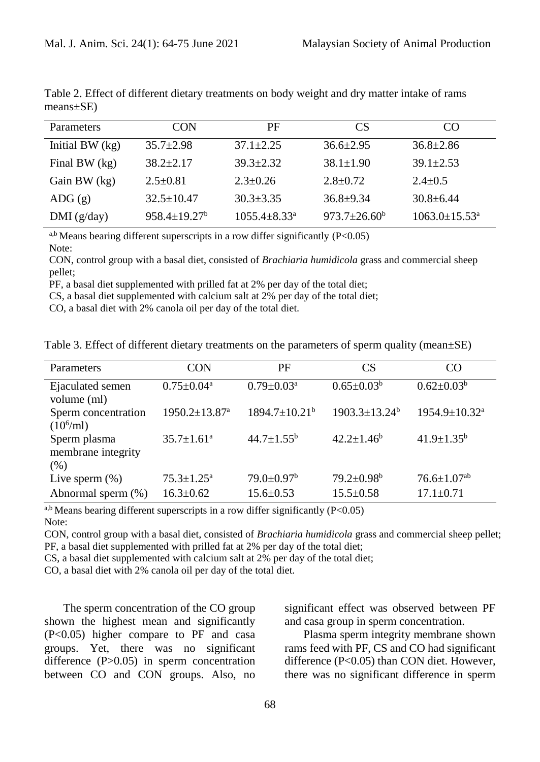| Parameters             | CON                       | РF                             | CS <sup>-</sup>           | CO                              |
|------------------------|---------------------------|--------------------------------|---------------------------|---------------------------------|
| Initial BW $(kg)$      | $35.7 \pm 2.98$           | $37.1 \pm 2.25$                | $36.6 \pm 2.95$           | $36.8 \pm 2.86$                 |
| Final BW $(kg)$        | $38.2 \pm 2.17$           | $39.3 \pm 2.32$                | $38.1 \pm 1.90$           | $39.1 \pm 2.53$                 |
| Gain BW (kg)           | $2.5 \pm 0.81$            | $2.3 \pm 0.26$                 | $2.8 \pm 0.72$            | $2.4 \pm 0.5$                   |
| $\text{ADG}(\text{g})$ | $32.5 \pm 10.47$          | $30.3 \pm 3.35$                | $36.8 + 9.34$             | $30.8 \pm 6.44$                 |
| DMI(g/day)             | $958.4 \pm 19.27^{\rm b}$ | $1055.4 \pm 8.33$ <sup>a</sup> | $973.7 \pm 26.60^{\circ}$ | $1063.0 \pm 15.53$ <sup>a</sup> |

Table 2. Effect of different dietary treatments on body weight and dry matter intake of rams means±SE)

 $a,b$  Means bearing different superscripts in a row differ significantly (P<0.05) Note:

CON, control group with a basal diet, consisted of *Brachiaria humidicola* grass and commercial sheep pellet;

PF, a basal diet supplemented with prilled fat at 2% per day of the total diet;

CS, a basal diet supplemented with calcium salt at 2% per day of the total diet;

CO, a basal diet with 2% canola oil per day of the total diet.

| Table 3. Effect of different dietary treatments on the parameters of sperm quality (mean±SE) |  |  |  |
|----------------------------------------------------------------------------------------------|--|--|--|
|----------------------------------------------------------------------------------------------|--|--|--|

| <b>Parameters</b>                          | CON                        | PF                              | CS                              | CO                            |
|--------------------------------------------|----------------------------|---------------------------------|---------------------------------|-------------------------------|
| Ejaculated semen<br>volume (ml)            | $0.75 \pm 0.04^a$          | $0.79 \pm 0.03^{\text{a}}$      | $0.65 \pm 0.03^b$               | $0.62 \pm 0.03^b$             |
| Sperm concentration<br>$(10^6\text{/ml})$  | 1950.2±13.87 <sup>a</sup>  | $1894.7 \pm 10.21^{\mathrm{b}}$ | $1903.3 \pm 13.24$ <sup>b</sup> | 1954.9±10.32 <sup>a</sup>     |
| Sperm plasma<br>membrane integrity<br>(% ) | $35.7 \pm 1.61^{\circ}$    | $44.7 \pm 1.55^b$               | $42.2 \pm 1.46^b$               | $41.9 \pm 1.35^b$             |
| Live sperm $(\%)$                          | $75.3 \pm 1.25^{\text{a}}$ | $79.0 \pm 0.97^{\rm b}$         | $79.2 \pm 0.98^{\rm b}$         | $76.6 \pm 1.07$ <sup>ab</sup> |
| Abnormal sperm (%)                         | $16.3 \pm 0.62$            | $15.6 \pm 0.53$                 | $15.5 \pm 0.58$                 | $17.1 \pm 0.71$               |

 $a,b$  Means bearing different superscripts in a row differ significantly (P<0.05) Note:

CON, control group with a basal diet, consisted of *Brachiaria humidicola* grass and commercial sheep pellet; PF, a basal diet supplemented with prilled fat at 2% per day of the total diet;

CS, a basal diet supplemented with calcium salt at 2% per day of the total diet;

CO, a basal diet with 2% canola oil per day of the total diet.

The sperm concentration of the CO group shown the highest mean and significantly (P<0.05) higher compare to PF and casa groups. Yet, there was no significant difference (P>0.05) in sperm concentration between CO and CON groups. Also, no significant effect was observed between PF and casa group in sperm concentration.

Plasma sperm integrity membrane shown rams feed with PF, CS and CO had significant difference (P<0.05) than CON diet. However, there was no significant difference in sperm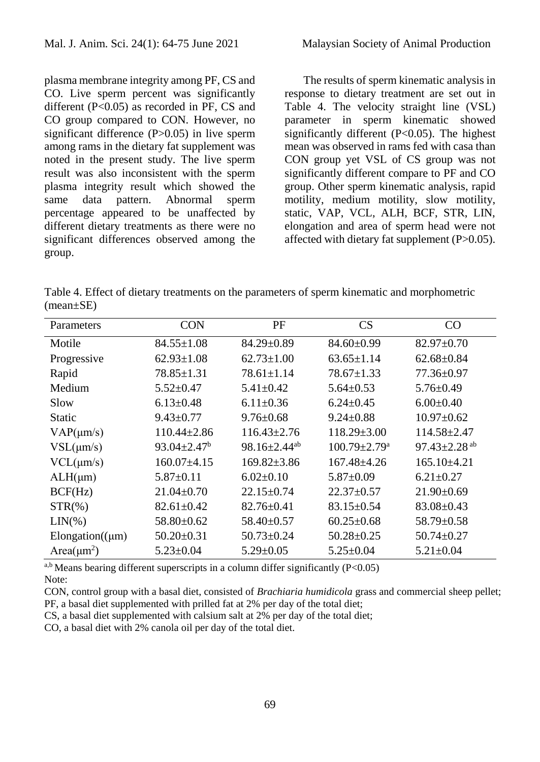plasma membrane integrity among PF, CS and CO. Live sperm percent was significantly different (P<0.05) as recorded in PF, CS and CO group compared to CON. However, no significant difference (P>0.05) in live sperm among rams in the dietary fat supplement was noted in the present study. The live sperm result was also inconsistent with the sperm plasma integrity result which showed the same data pattern. Abnormal sperm percentage appeared to be unaffected by different dietary treatments as there were no significant differences observed among the group.

The results of sperm kinematic analysis in response to dietary treatment are set out in Table 4. The velocity straight line (VSL) parameter in sperm kinematic showed significantly different (P<0.05). The highest mean was observed in rams fed with casa than CON group yet VSL of CS group was not significantly different compare to PF and CO group. Other sperm kinematic analysis, rapid motility, medium motility, slow motility, static, VAP, VCL, ALH, BCF, STR, LIN, elongation and area of sperm head were not affected with dietary fat supplement (P>0.05).

Table 4. Effect of dietary treatments on the parameters of sperm kinematic and morphometric (mean±SE)

| Parameters                   | <b>CON</b>         | PF                             | CS                             | CO                             |
|------------------------------|--------------------|--------------------------------|--------------------------------|--------------------------------|
| Motile                       | $84.55 \pm 1.08$   | $84.29 \pm 0.89$               | $84.60 \pm 0.99$               | $82.97 \pm 0.70$               |
| Progressive                  | $62.93 \pm 1.08$   | $62.73 \pm 1.00$               | $63.65 \pm 1.14$               | $62.68 \pm 0.84$               |
| Rapid                        | $78.85 \pm 1.31$   | $78.61 \pm 1.14$               | $78.67 \pm 1.33$               | $77.36 \pm 0.97$               |
| Medium                       | $5.52 \pm 0.47$    | $5.41 \pm 0.42$                | $5.64 \pm 0.53$                | $5.76 \pm 0.49$                |
| Slow                         | $6.13 \pm 0.48$    | $6.11 \pm 0.36$                | $6.24 \pm 0.45$                | $6.00 \pm 0.40$                |
| <b>Static</b>                | $9.43 \pm 0.77$    | $9.76 \pm 0.68$                | $9.24 \pm 0.88$                | $10.97 \pm 0.62$               |
| $VAP(\mu m/s)$               | $110.44 \pm 2.86$  | $116.43 \pm 2.76$              | $118.29 \pm 3.00$              | 114.58±2.47                    |
| $VSL(\mu m/s)$               | $93.04 \pm 2.47^b$ | $98.16 \pm 2.44$ <sup>ab</sup> | $100.79 \pm 2.79^{\mathrm{a}}$ | 97.43 $\pm$ 2.28 <sup>ab</sup> |
| $VCL(\mu m/s)$               | $160.07\pm4.15$    | $169.82 \pm 3.86$              | $167.48 \pm 4.26$              | 165.10±4.21                    |
| $ALH(\mu m)$                 | $5.87 \pm 0.11$    | $6.02\pm0.10$                  | $5.87 \pm 0.09$                | $6.21 \pm 0.27$                |
| BCF(Hz)                      | $21.04 \pm 0.70$   | $22.15 \pm 0.74$               | $22.37 \pm 0.57$               | $21.90 \pm 0.69$               |
| $STR(\% )$                   | $82.61 \pm 0.42$   | $82.76 \pm 0.41$               | $83.15 \pm 0.54$               | $83.08 \pm 0.43$               |
| $LIN(\% )$                   | 58.80±0.62         | $58.40\pm0.57$                 | $60.25 \pm 0.68$               | $58.79 \pm 0.58$               |
| Elongation( $(\mu m)$        | $50.20 \pm 0.31$   | $50.73 \pm 0.24$               | $50.28 \pm 0.25$               | $50.74 \pm 0.27$               |
| Area( $\mu$ m <sup>2</sup> ) | $5.23 \pm 0.04$    | $5.29 \pm 0.05$                | $5.25 \pm 0.04$                | $5.21 \pm 0.04$                |

 $a,b$  Means bearing different superscripts in a column differ significantly (P<0.05)

CON, control group with a basal diet, consisted of *Brachiaria humidicola* grass and commercial sheep pellet; PF, a basal diet supplemented with prilled fat at 2% per day of the total diet;

CS, a basal diet supplemented with calsium salt at 2% per day of the total diet;

CO, a basal diet with 2% canola oil per day of the total diet.

Note: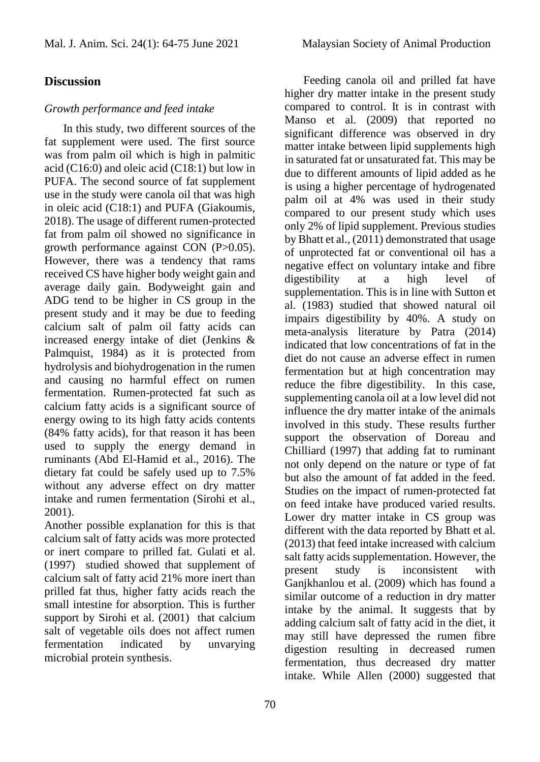# **Discussion**

### *Growth performance and feed intake*

In this study, two different sources of the fat supplement were used. The first source was from palm oil which is high in palmitic acid (C16:0) and oleic acid (C18:1) but low in PUFA. The second source of fat supplement use in the study were canola oil that was high in oleic acid (C18:1) and PUFA (Giakoumis, 2018). The usage of different rumen-protected fat from palm oil showed no significance in growth performance against CON (P>0.05). However, there was a tendency that rams received CS have higher body weight gain and average daily gain. Bodyweight gain and ADG tend to be higher in CS group in the present study and it may be due to feeding calcium salt of palm oil fatty acids can increased energy intake of diet (Jenkins & Palmquist, 1984) as it is protected from hydrolysis and biohydrogenation in the rumen and causing no harmful effect on rumen fermentation. Rumen-protected fat such as calcium fatty acids is a significant source of energy owing to its high fatty acids contents (84% fatty acids), for that reason it has been used to supply the energy demand in ruminants (Abd El-Hamid et al., 2016). The dietary fat could be safely used up to 7.5% without any adverse effect on dry matter intake and rumen fermentation (Sirohi et al., 2001).

Another possible explanation for this is that calcium salt of fatty acids was more protected or inert compare to prilled fat. Gulati et al. (1997) studied showed that supplement of calcium salt of fatty acid 21% more inert than prilled fat thus, higher fatty acids reach the small intestine for absorption. This is further support by Sirohi et al. (2001) that calcium salt of vegetable oils does not affect rumen fermentation indicated by unvarying microbial protein synthesis.

Feeding canola oil and prilled fat have higher dry matter intake in the present study compared to control. It is in contrast with Manso et al. (2009) that reported no significant difference was observed in dry matter intake between lipid supplements high in saturated fat or unsaturated fat. This may be due to different amounts of lipid added as he is using a higher percentage of hydrogenated palm oil at 4% was used in their study compared to our present study which uses only 2% of lipid supplement. Previous studies by Bhatt et al., (2011) demonstrated that usage of unprotected fat or conventional oil has a negative effect on voluntary intake and fibre digestibility at a high level of supplementation. This is in line with Sutton et al. (1983) studied that showed natural oil impairs digestibility by 40%. A study on meta-analysis literature by Patra (2014) indicated that low concentrations of fat in the diet do not cause an adverse effect in rumen fermentation but at high concentration may reduce the fibre digestibility. In this case, supplementing canola oil at a low level did not influence the dry matter intake of the animals involved in this study. These results further support the observation of Doreau and Chilliard (1997) that adding fat to ruminant not only depend on the nature or type of fat but also the amount of fat added in the feed. Studies on the impact of rumen-protected fat on feed intake have produced varied results. Lower dry matter intake in CS group was different with the data reported by Bhatt et al. (2013) that feed intake increased with calcium salt fatty acids supplementation. However, the present study is inconsistent with Ganjkhanlou et al. (2009) which has found a similar outcome of a reduction in dry matter intake by the animal. It suggests that by adding calcium salt of fatty acid in the diet, it may still have depressed the rumen fibre digestion resulting in decreased rumen fermentation, thus decreased dry matter intake. While Allen (2000) suggested that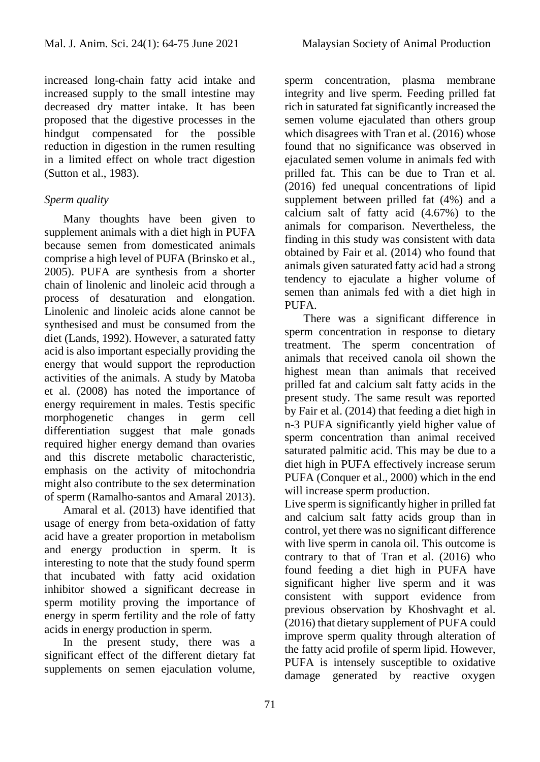increased long-chain fatty acid intake and increased supply to the small intestine may decreased dry matter intake. It has been proposed that the digestive processes in the hindgut compensated for the possible reduction in digestion in the rumen resulting in a limited effect on whole tract digestion (Sutton et al., 1983).

# *Sperm quality*

Many thoughts have been given to supplement animals with a diet high in PUFA because semen from domesticated animals comprise a high level of PUFA (Brinsko et al., 2005). PUFA are synthesis from a shorter chain of linolenic and linoleic acid through a process of desaturation and elongation. Linolenic and linoleic acids alone cannot be synthesised and must be consumed from the diet (Lands, 1992). However, a saturated fatty acid is also important especially providing the energy that would support the reproduction activities of the animals. A study by Matoba et al. (2008) has noted the importance of energy requirement in males. Testis specific morphogenetic changes in germ cell differentiation suggest that male gonads required higher energy demand than ovaries and this discrete metabolic characteristic, emphasis on the activity of mitochondria might also contribute to the sex determination of sperm (Ramalho-santos and Amaral 2013).

Amaral et al. (2013) have identified that usage of energy from beta-oxidation of fatty acid have a greater proportion in metabolism and energy production in sperm. It is interesting to note that the study found sperm that incubated with fatty acid oxidation inhibitor showed a significant decrease in sperm motility proving the importance of energy in sperm fertility and the role of fatty acids in energy production in sperm.

In the present study, there was a significant effect of the different dietary fat supplements on semen ejaculation volume, sperm concentration, plasma membrane integrity and live sperm. Feeding prilled fat rich in saturated fat significantly increased the semen volume ejaculated than others group which disagrees with Tran et al. (2016) whose found that no significance was observed in ejaculated semen volume in animals fed with prilled fat. This can be due to Tran et al. (2016) fed unequal concentrations of lipid supplement between prilled fat (4%) and a calcium salt of fatty acid (4.67%) to the animals for comparison. Nevertheless, the finding in this study was consistent with data obtained by Fair et al. (2014) who found that animals given saturated fatty acid had a strong tendency to ejaculate a higher volume of semen than animals fed with a diet high in PUFA.

There was a significant difference in sperm concentration in response to dietary treatment. The sperm concentration of animals that received canola oil shown the highest mean than animals that received prilled fat and calcium salt fatty acids in the present study. The same result was reported by Fair et al. (2014) that feeding a diet high in n-3 PUFA significantly yield higher value of sperm concentration than animal received saturated palmitic acid. This may be due to a diet high in PUFA effectively increase serum PUFA (Conquer et al., 2000) which in the end will increase sperm production.

Live sperm is significantly higher in prilled fat and calcium salt fatty acids group than in control, yet there was no significant difference with live sperm in canola oil. This outcome is contrary to that of Tran et al. (2016) who found feeding a diet high in PUFA have significant higher live sperm and it was consistent with support evidence from previous observation by Khoshvaght et al. (2016) that dietary supplement of PUFA could improve sperm quality through alteration of the fatty acid profile of sperm lipid. However, PUFA is intensely susceptible to oxidative damage generated by reactive oxygen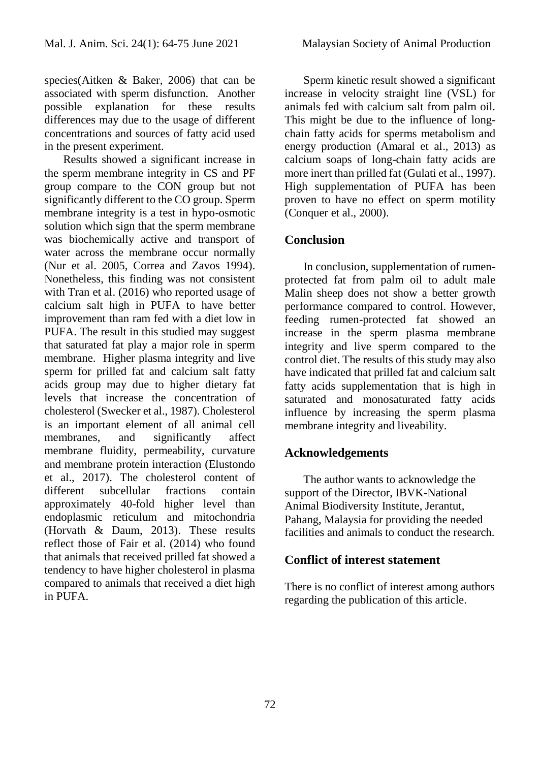species(Aitken & Baker, 2006) that can be associated with sperm disfunction. Another possible explanation for these results differences may due to the usage of different concentrations and sources of fatty acid used in the present experiment.

Results showed a significant increase in the sperm membrane integrity in CS and PF group compare to the CON group but not significantly different to the CO group. Sperm membrane integrity is a test in hypo-osmotic solution which sign that the sperm membrane was biochemically active and transport of water across the membrane occur normally (Nur et al. 2005, Correa and Zavos 1994). Nonetheless, this finding was not consistent with Tran et al. (2016) who reported usage of calcium salt high in PUFA to have better improvement than ram fed with a diet low in PUFA. The result in this studied may suggest that saturated fat play a major role in sperm membrane. Higher plasma integrity and live sperm for prilled fat and calcium salt fatty acids group may due to higher dietary fat levels that increase the concentration of cholesterol (Swecker et al., 1987). Cholesterol is an important element of all animal cell membranes, and significantly affect membrane fluidity, permeability, curvature and membrane protein interaction (Elustondo et al., 2017). The cholesterol content of different subcellular fractions contain approximately 40-fold higher level than endoplasmic reticulum and mitochondria (Horvath & Daum, 2013). These results reflect those of Fair et al. (2014) who found that animals that received prilled fat showed a tendency to have higher cholesterol in plasma compared to animals that received a diet high in PUFA.

Sperm kinetic result showed a significant increase in velocity straight line (VSL) for animals fed with calcium salt from palm oil. This might be due to the influence of longchain fatty acids for sperms metabolism and energy production (Amaral et al., 2013) as calcium soaps of long-chain fatty acids are more inert than prilled fat (Gulati et al., 1997). High supplementation of PUFA has been proven to have no effect on sperm motility (Conquer et al., 2000).

# **Conclusion**

In conclusion, supplementation of rumenprotected fat from palm oil to adult male Malin sheep does not show a better growth performance compared to control. However, feeding rumen-protected fat showed an increase in the sperm plasma membrane integrity and live sperm compared to the control diet. The results of this study may also have indicated that prilled fat and calcium salt fatty acids supplementation that is high in saturated and monosaturated fatty acids influence by increasing the sperm plasma membrane integrity and liveability.

# **Acknowledgements**

The author wants to acknowledge the support of the Director, IBVK-National Animal Biodiversity Institute, Jerantut, Pahang, Malaysia for providing the needed facilities and animals to conduct the research.

# **Conflict of interest statement**

There is no conflict of interest among authors regarding the publication of this article.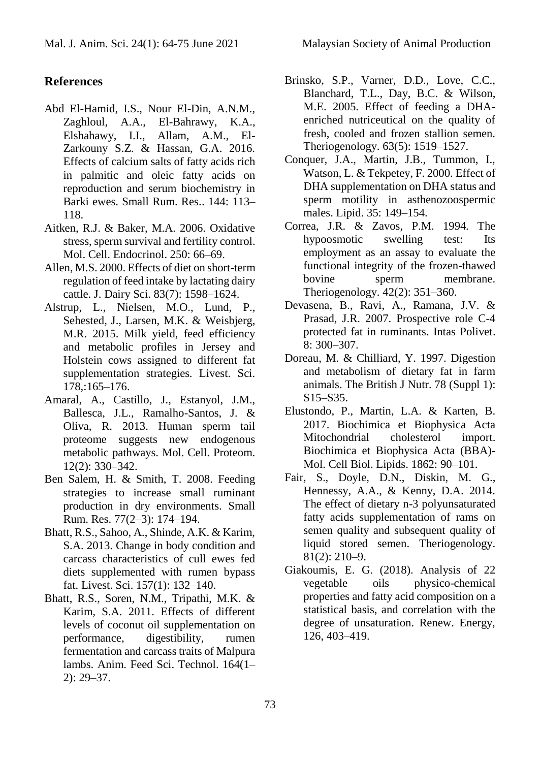# **References**

- Abd El-Hamid, I.S., Nour El-Din, A.N.M., Zaghloul, A.A., El-Bahrawy, K.A., Elshahawy, I.I., Allam, A.M., El-Zarkouny S.Z. & Hassan, G.A. 2016. Effects of calcium salts of fatty acids rich in palmitic and oleic fatty acids on reproduction and serum biochemistry in Barki ewes. Small Rum. Res.. 144: 113– 118.
- Aitken, R.J. & Baker, M.A. 2006. Oxidative stress, sperm survival and fertility control. Mol. Cell. Endocrinol. 250: 66–69.
- Allen, M.S. 2000. Effects of diet on short-term regulation of feed intake by lactating dairy cattle. J. Dairy Sci. 83(7): 1598–1624.
- Alstrup, L., Nielsen, M.O., Lund, P., Sehested, J., Larsen, M.K. & Weisbjerg, M.R. 2015. Milk yield, feed efficiency and metabolic profiles in Jersey and Holstein cows assigned to different fat supplementation strategies. Livest. Sci. 178,:165–176.
- Amaral, A., Castillo, J., Estanyol, J.M., Ballesca, J.L., Ramalho-Santos, J. & Oliva, R. 2013. Human sperm tail proteome suggests new endogenous metabolic pathways. Mol. Cell. Proteom. 12(2): 330–342.
- Ben Salem, H. & Smith, T. 2008. Feeding strategies to increase small ruminant production in dry environments. Small Rum. Res. 77(2–3): 174–194.
- Bhatt, R.S., Sahoo, A., Shinde, A.K. & Karim, S.A. 2013. Change in body condition and carcass characteristics of cull ewes fed diets supplemented with rumen bypass fat. Livest. Sci. 157(1): 132–140.
- Bhatt, R.S., Soren, N.M., Tripathi, M.K. & Karim, S.A. 2011. Effects of different levels of coconut oil supplementation on performance, digestibility, rumen fermentation and carcass traits of Malpura lambs. Anim. Feed Sci. Technol. 164(1– 2): 29–37.
- Brinsko, S.P., Varner, D.D., Love, C.C., Blanchard, T.L., Day, B.C. & Wilson, M.E. 2005. Effect of feeding a DHAenriched nutriceutical on the quality of fresh, cooled and frozen stallion semen. Theriogenology. 63(5): 1519–1527.
- Conquer, J.A., Martin, J.B., Tummon, I., Watson, L. & Tekpetey, F. 2000. Effect of DHA supplementation on DHA status and sperm motility in asthenozoospermic males. Lipid. 35: 149–154.
- Correa, J.R. & Zavos, P.M. 1994. The hypoosmotic swelling test: Its employment as an assay to evaluate the functional integrity of the frozen-thawed bovine sperm membrane. Theriogenology. 42(2): 351–360.
- Devasena, B., Ravi, A., Ramana, J.V. & Prasad, J.R. 2007. Prospective role C-4 protected fat in ruminants. Intas Polivet. 8: 300–307.
- Doreau, M. & Chilliard, Y. 1997. Digestion and metabolism of dietary fat in farm animals. The British J Nutr. 78 (Suppl 1): S15–S35.
- Elustondo, P., Martin, L.A. & Karten, B. 2017. Biochimica et Biophysica Acta Mitochondrial cholesterol import. Biochimica et Biophysica Acta (BBA)- Mol. Cell Biol. Lipids. 1862: 90–101.
- Fair, S., Doyle, D.N., Diskin, M. G., Hennessy, A.A., & Kenny, D.A. 2014. The effect of dietary n-3 polyunsaturated fatty acids supplementation of rams on semen quality and subsequent quality of liquid stored semen. Theriogenology. 81(2): 210–9.
- Giakoumis, E. G. (2018). Analysis of 22 vegetable oils physico-chemical properties and fatty acid composition on a statistical basis, and correlation with the degree of unsaturation. Renew. Energy, 126, 403–419.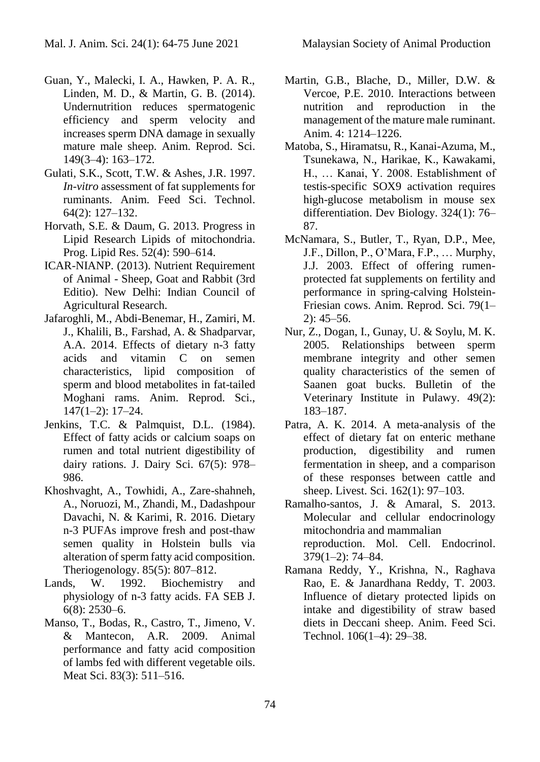- Guan, Y., Malecki, I. A., Hawken, P. A. R., Linden, M. D., & Martin, G. B. (2014). Undernutrition reduces spermatogenic efficiency and sperm velocity and increases sperm DNA damage in sexually mature male sheep. Anim. Reprod. Sci. 149(3–4): 163–172.
- Gulati, S.K., Scott, T.W. & Ashes, J.R. 1997. *In-vitro* assessment of fat supplements for ruminants. Anim. Feed Sci. Technol. 64(2): 127–132.
- Horvath, S.E. & Daum, G. 2013. Progress in Lipid Research Lipids of mitochondria. Prog. Lipid Res. 52(4): 590–614.
- ICAR-NIANP. (2013). Nutrient Requirement of Animal - Sheep, Goat and Rabbit (3rd Editio). New Delhi: Indian Council of Agricultural Research.
- Jafaroghli, M., Abdi-Benemar, H., Zamiri, M. J., Khalili, B., Farshad, A. & Shadparvar, A.A. 2014. Effects of dietary n-3 fatty acids and vitamin C on semen characteristics, lipid composition of sperm and blood metabolites in fat-tailed Moghani rams. Anim. Reprod. Sci., 147(1–2): 17–24.
- Jenkins, T.C. & Palmquist, D.L. (1984). Effect of fatty acids or calcium soaps on rumen and total nutrient digestibility of dairy rations. J. Dairy Sci. 67(5): 978– 986.
- Khoshvaght, A., Towhidi, A., Zare-shahneh, A., Noruozi, M., Zhandi, M., Dadashpour Davachi, N. & Karimi, R. 2016. Dietary n-3 PUFAs improve fresh and post-thaw semen quality in Holstein bulls via alteration of sperm fatty acid composition. Theriogenology. 85(5): 807–812.
- Lands, W. 1992. Biochemistry and physiology of n-3 fatty acids. FA SEB J. 6(8): 2530–6.
- Manso, T., Bodas, R., Castro, T., Jimeno, V. & Mantecon, A.R. 2009. Animal performance and fatty acid composition of lambs fed with different vegetable oils. Meat Sci. 83(3): 511–516.
- Martin, G.B., Blache, D., Miller, D.W. & Vercoe, P.E. 2010. Interactions between nutrition and reproduction in the management of the mature male ruminant. Anim. 4: 1214–1226.
- Matoba, S., Hiramatsu, R., Kanai-Azuma, M., Tsunekawa, N., Harikae, K., Kawakami, H., … Kanai, Y. 2008. Establishment of testis-specific SOX9 activation requires high-glucose metabolism in mouse sex differentiation. Dev Biology. 324(1): 76– 87.
- McNamara, S., Butler, T., Ryan, D.P., Mee, J.F., Dillon, P., O'Mara, F.P., … Murphy, J.J. 2003. Effect of offering rumenprotected fat supplements on fertility and performance in spring-calving Holstein-Friesian cows. Anim. Reprod. Sci. 79(1– 2): 45–56.
- Nur, Z., Dogan, I., Gunay, U. & Soylu, M. K. 2005. Relationships between sperm membrane integrity and other semen quality characteristics of the semen of Saanen goat bucks. Bulletin of the Veterinary Institute in Pulawy. 49(2): 183–187.
- Patra, A. K. 2014. A meta-analysis of the effect of dietary fat on enteric methane production, digestibility and rumen fermentation in sheep, and a comparison of these responses between cattle and sheep. Livest. Sci. 162(1): 97–103.
- Ramalho-santos, J. & Amaral, S. 2013. Molecular and cellular endocrinology mitochondria and mammalian reproduction. Mol. Cell. Endocrinol. 379(1–2): 74–84.
- Ramana Reddy, Y., Krishna, N., Raghava Rao, E. & Janardhana Reddy, T. 2003. Influence of dietary protected lipids on intake and digestibility of straw based diets in Deccani sheep. Anim. Feed Sci. Technol. 106(1–4): 29–38.